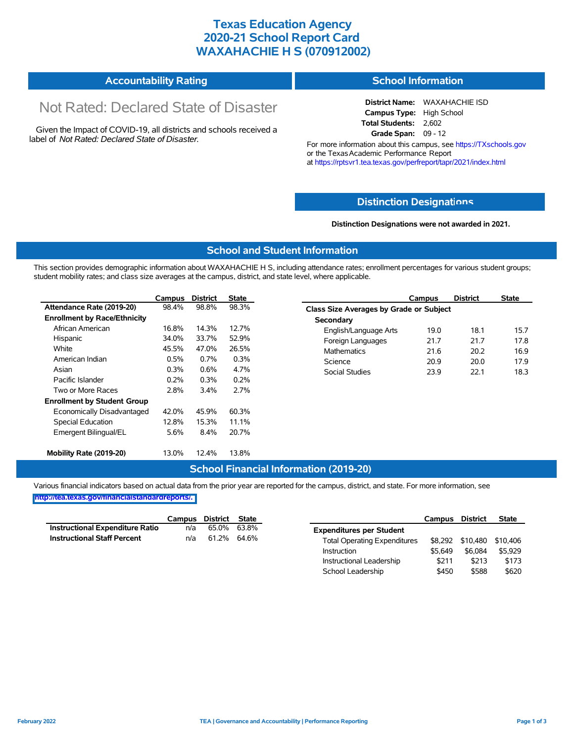### **Texas Education Agency 2020-21 School Report Card WAXAHACHIE H S (070912002)**

| <b>Accountability Rating</b> | <b>School Information</b> |
|------------------------------|---------------------------|
|------------------------------|---------------------------|

# Not Rated: Declared State of Disaster

Given the Impact of COVID-19, all districts and schools received a label of *Not Rated: Declared State of Disaster.*

**District Name:** WAXAHACHIE ISD **Campus Type:** High School **Total Students:** 2,602 **Grade Span:** 09 - 12

For more information about this campus, see https://TXschools.gov or the Texas Academic Performance Report at https://rptsvr1.tea.texas.gov/perfreport/tapr/2021/index.html

#### **Distinction Designat[ions](https://TXschools.gov)**

**Distinction Designations were not awarded in 2021.**

School Leadership  $$450$  \$588 \$620

#### **School and Student Information**

This section provides demographic information about WAXAHACHIE H S, including attendance rates; enrollment percentages for various student groups; student mobility rates; and class size averages at the campus, district, and state level, where applicable.

|                                     | Campus | <b>District</b> | <b>State</b> | <b>District</b><br><b>State</b><br>Campus     |
|-------------------------------------|--------|-----------------|--------------|-----------------------------------------------|
| Attendance Rate (2019-20)           | 98.4%  | 98.8%           | 98.3%        | Class Size Averages by Grade or Subject       |
| <b>Enrollment by Race/Ethnicity</b> |        |                 |              | Secondary                                     |
| African American                    | 16.8%  | 14.3%           | 12.7%        | English/Language Arts<br>19.0<br>18.1<br>15.7 |
| Hispanic                            | 34.0%  | 33.7%           | 52.9%        | 21.7<br>Foreign Languages<br>17.8<br>21.7     |
| White                               | 45.5%  | 47.0%           | 26.5%        | <b>Mathematics</b><br>20.2<br>16.9<br>21.6    |
| American Indian                     | 0.5%   | 0.7%            | 0.3%         | Science<br>20.0<br>20.9<br>17.9               |
| Asian                               | 0.3%   | 0.6%            | 4.7%         | <b>Social Studies</b><br>22.1<br>18.3<br>23.9 |
| Pacific Islander                    | 0.2%   | 0.3%            | 0.2%         |                                               |
| Two or More Races                   | 2.8%   | 3.4%            | 2.7%         |                                               |
| <b>Enrollment by Student Group</b>  |        |                 |              |                                               |
| Economically Disadvantaged          | 42.0%  | 45.9%           | 60.3%        |                                               |
| Special Education                   | 12.8%  | 15.3%           | 11.1%        |                                               |
| Emergent Bilingual/EL               | 5.6%   | 8.4%            | 20.7%        |                                               |
| Mobility Rate (2019-20)             | 13.0%  | 12.4%           | 13.8%        |                                               |

#### **School Financial Information (2019-20)**

Various financial indicators based on actual data from the prior year are reported for the campus, district, and state. For more information, see

**[http://tea.texas.gov/financialstandardreports/.](http://tea.texas.gov/financialstandardreports/)**

|                                        | Campus | District | State       |                                     | Campus  | <b>District</b>  | <b>State</b> |
|----------------------------------------|--------|----------|-------------|-------------------------------------|---------|------------------|--------------|
| <b>Instructional Expenditure Ratio</b> | n/a    | 65.0%    | 63.8%       | <b>Expenditures per Student</b>     |         |                  |              |
| <b>Instructional Staff Percent</b>     | n/a    |          | 61.2% 64.6% | <b>Total Operating Expenditures</b> |         | \$8,292 \$10,480 | \$10.406     |
|                                        |        |          |             | Instruction                         | \$5.649 | \$6,084          | \$5.929      |
|                                        |        |          |             | Instructional Leadership            | \$211   | \$213            | \$173        |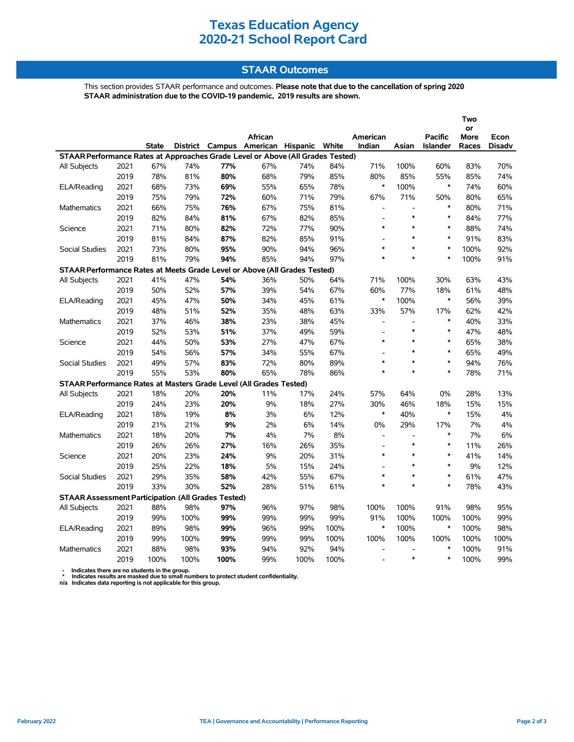## **Texas Education Agency 2020-21 School Report Card**

### **STAAR Outcomes**

This section provides STAAR performance and outcomes. **Please note that due to the cancellation of spring 2020 STAAR administration due to the COVID-19 pandemic, 2019 results are shown.**

|                                                                                |      |              |      |                 |                   |      |       |                          |                          |                 | Two   |               |
|--------------------------------------------------------------------------------|------|--------------|------|-----------------|-------------------|------|-------|--------------------------|--------------------------|-----------------|-------|---------------|
|                                                                                |      |              |      |                 |                   |      |       |                          |                          |                 | or    |               |
|                                                                                |      |              |      |                 | African           |      |       | American                 |                          | <b>Pacific</b>  | More  | Econ          |
|                                                                                |      | <b>State</b> |      | District Campus | American Hispanic |      | White | Indian                   | Asian                    | <b>Islander</b> | Races | <b>Disadv</b> |
| STAAR Performance Rates at Approaches Grade Level or Above (All Grades Tested) |      |              |      |                 |                   |      |       |                          |                          |                 |       |               |
| All Subjects                                                                   | 2021 | 67%          | 74%  | 77%             | 67%               | 74%  | 84%   | 71%                      | 100%                     | 60%             | 83%   | 70%           |
|                                                                                | 2019 | 78%          | 81%  | 80%             | 68%               | 79%  | 85%   | 80%                      | 85%                      | 55%             | 85%   | 74%           |
| ELA/Reading                                                                    | 2021 | 68%          | 73%  | 69%             | 55%               | 65%  | 78%   | $\ast$                   | 100%                     | $\ast$          | 74%   | 60%           |
|                                                                                | 2019 | 75%          | 79%  | 72%             | 60%               | 71%  | 79%   | 67%                      | 71%                      | 50%             | 80%   | 65%           |
| <b>Mathematics</b>                                                             | 2021 | 66%          | 75%  | 76%             | 67%               | 75%  | 81%   | $\overline{\phantom{a}}$ | $\overline{a}$           | $\ast$          | 80%   | 71%           |
|                                                                                | 2019 | 82%          | 84%  | 81%             | 67%               | 82%  | 85%   |                          | $\ast$                   | $\ast$          | 84%   | 77%           |
| Science                                                                        | 2021 | 71%          | 80%  | 82%             | 72%               | 77%  | 90%   | $\ast$                   | $\ast$                   | $\ast$          | 88%   | 74%           |
|                                                                                | 2019 | 81%          | 84%  | 87%             | 82%               | 85%  | 91%   |                          | $\ast$                   | $\ast$          | 91%   | 83%           |
| Social Studies                                                                 | 2021 | 73%          | 80%  | 95%             | 90%               | 94%  | 96%   | $\ast$                   | $\ast$                   | $\ast$          | 100%  | 92%           |
|                                                                                | 2019 | 81%          | 79%  | 94%             | 85%               | 94%  | 97%   | $\ast$                   | $\ast$                   | $\ast$          | 100%  | 91%           |
| STAAR Performance Rates at Meets Grade Level or Above (All Grades Tested)      |      |              |      |                 |                   |      |       |                          |                          |                 |       |               |
| All Subjects                                                                   | 2021 | 41%          | 47%  | 54%             | 36%               | 50%  | 64%   | 71%                      | 100%                     | 30%             | 63%   | 43%           |
|                                                                                | 2019 | 50%          | 52%  | 57%             | 39%               | 54%  | 67%   | 60%                      | 77%                      | 18%             | 61%   | 48%           |
| ELA/Reading                                                                    | 2021 | 45%          | 47%  | 50%             | 34%               | 45%  | 61%   | $\ast$                   | 100%                     | $\ast$          | 56%   | 39%           |
|                                                                                | 2019 | 48%          | 51%  | 52%             | 35%               | 48%  | 63%   | 33%                      | 57%                      | 17%             | 62%   | 42%           |
| Mathematics                                                                    | 2021 | 37%          | 46%  | 38%             | 23%               | 38%  | 45%   | $\overline{a}$           | $\overline{\phantom{a}}$ | $\ast$          | 40%   | 33%           |
|                                                                                | 2019 | 52%          | 53%  | 51%             | 37%               | 49%  | 59%   |                          | $\ast$                   | $\ast$          | 47%   | 48%           |
| Science                                                                        | 2021 | 44%          | 50%  | 53%             | 27%               | 47%  | 67%   | $\ast$                   | $\ast$                   | $\ast$          | 65%   | 38%           |
|                                                                                | 2019 | 54%          | 56%  | 57%             | 34%               | 55%  | 67%   | $\overline{a}$           | $\ast$                   | $\ast$          | 65%   | 49%           |
| <b>Social Studies</b>                                                          | 2021 | 49%          | 57%  | 83%             | 72%               | 80%  | 89%   | $\ast$                   | $\ast$                   | $\ast$          | 94%   | 76%           |
|                                                                                | 2019 | 55%          | 53%  | 80%             | 65%               | 78%  | 86%   | $\ast$                   | $\ast$                   | $\ast$          | 78%   | 71%           |
| STAAR Performance Rates at Masters Grade Level (All Grades Tested)             |      |              |      |                 |                   |      |       |                          |                          |                 |       |               |
| All Subjects                                                                   | 2021 | 18%          | 20%  | 20%             | 11%               | 17%  | 24%   | 57%                      | 64%                      | $0\%$           | 28%   | 13%           |
|                                                                                | 2019 | 24%          | 23%  | 20%             | 9%                | 18%  | 27%   | 30%                      | 46%                      | 18%             | 15%   | 15%           |
| ELA/Reading                                                                    | 2021 | 18%          | 19%  | 8%              | 3%                | 6%   | 12%   | $\ast$                   | 40%                      | $\ast$          | 15%   | 4%            |
|                                                                                | 2019 | 21%          | 21%  | 9%              | 2%                | 6%   | 14%   | 0%                       | 29%                      | 17%             | 7%    | 4%            |
| Mathematics                                                                    | 2021 | 18%          | 20%  | 7%              | 4%                | 7%   | 8%    | $\overline{a}$           | $\blacksquare$           | $\ast$          | 7%    | 6%            |
|                                                                                | 2019 | 26%          | 26%  | 27%             | 16%               | 26%  | 35%   |                          | $\ast$                   | $\ast$          | 11%   | 26%           |
| Science                                                                        | 2021 | 20%          | 23%  | 24%             | 9%                | 20%  | 31%   | $\ast$                   | $\ast$                   | $\ast$          | 41%   | 14%           |
|                                                                                | 2019 | 25%          | 22%  | 18%             | 5%                | 15%  | 24%   | $\overline{a}$           | $\ast$                   | $\ast$          | 9%    | 12%           |
| <b>Social Studies</b>                                                          | 2021 | 29%          | 35%  | 58%             | 42%               | 55%  | 67%   | *                        | $\ast$                   | $\ast$          | 61%   | 47%           |
|                                                                                | 2019 | 33%          | 30%  | 52%             | 28%               | 51%  | 61%   | $\ast$                   | $\ast$                   | $\ast$          | 78%   | 43%           |
| <b>STAAR Assessment Participation (All Grades Tested)</b>                      |      |              |      |                 |                   |      |       |                          |                          |                 |       |               |
| All Subjects                                                                   | 2021 | 88%          | 98%  | 97%             | 96%               | 97%  | 98%   | 100%                     | 100%                     | 91%             | 98%   | 95%           |
|                                                                                | 2019 | 99%          | 100% | 99%             | 99%               | 99%  | 99%   | 91%                      | 100%                     | 100%            | 100%  | 99%           |
| ELA/Reading                                                                    | 2021 | 89%          | 98%  | 99%             | 96%               | 99%  | 100%  | $\ast$                   | 100%                     | $\ast$          | 100%  | 98%           |
|                                                                                | 2019 | 99%          | 100% | 99%             | 99%               | 99%  | 100%  | 100%                     | 100%                     | 100%            | 100%  | 100%          |
| <b>Mathematics</b>                                                             | 2021 | 88%          | 98%  | 93%             | 94%               | 92%  | 94%   | $\overline{a}$           | $\blacksquare$           | $\ast$          | 100%  | 91%           |
|                                                                                | 2019 | 100%         | 100% | 100%            | 99%               | 100% | 100%  |                          | $\ast$                   | $\ast$          | 100%  | 99%           |

 **- Indicates there are no students in the group. \* Indicates results are masked due to small numbers to protect student confidentiality.**

**n/a Indicates data reporting is not applicable for this group.**